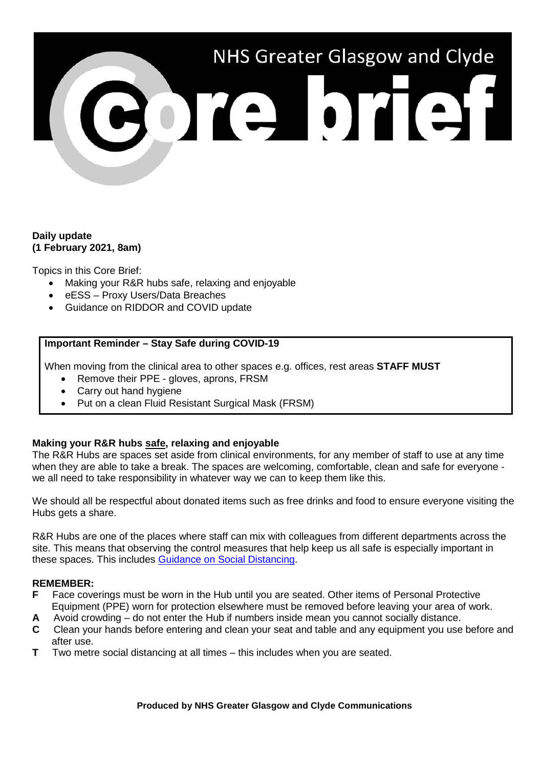# NHS Greater Glasgow and Clyde 301310131

### **Daily update (1 February 2021, 8am)**

Topics in this Core Brief:

- Making your R&R hubs safe, relaxing and enjoyable
- eESS Proxy Users/Data Breaches
- Guidance on RIDDOR and COVID update

# **Important Reminder – Stay Safe during COVID-19**

When moving from the clinical area to other spaces e.g. offices, rest areas **STAFF MUST**

- Remove their PPE gloves, aprons, FRSM
- Carry out hand hygiene
- Put on a clean Fluid Resistant Surgical Mask (FRSM)

# **Making your R&R hubs safe, relaxing and enjoyable**

The R&R Hubs are spaces set aside from clinical environments, for any member of staff to use at any time when they are able to take a break. The spaces are welcoming, comfortable, clean and safe for everyone we all need to take responsibility in whatever way we can to keep them like this.

We should all be respectful about donated items such as free drinks and food to ensure everyone visiting the Hubs gets a share.

R&R Hubs are one of the places where staff can mix with colleagues from different departments across the site. This means that observing the control measures that help keep us all safe is especially important in these spaces. This includes [Guidance on Social Distancing.](https://www.nhsggc.org.uk/your-health/health-issues/covid-19-coronavirus/for-nhsggc-staff/social-distancing-in-the-workplace/)

# **REMEMBER:**

- **F** Face coverings must be worn in the Hub until you are seated. Other items of Personal Protective Equipment (PPE) worn for protection elsewhere must be removed before leaving your area of work.
- **A** Avoid crowding do not enter the Hub if numbers inside mean you cannot socially distance.
- **C** Clean your hands before entering and clean your seat and table and any equipment you use before and after use.
- **T** Two metre social distancing at all times this includes when you are seated.